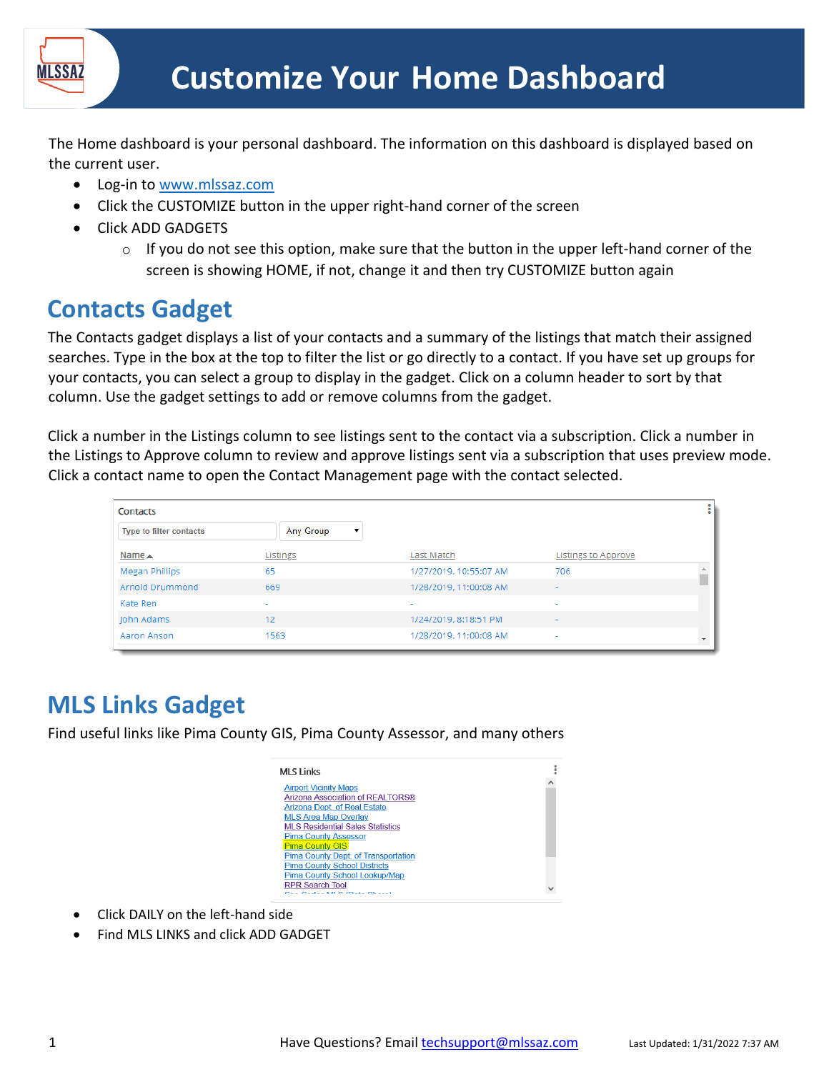

The Home dashboard is your personal dashboard. The information on this dashboard is displayed based on the current user.

- Log-in to [www.mlssaz.com](http://www.mlssaz.com/)
- Click the CUSTOMIZE button in the upper right-hand corner of the screen
- Click ADD GADGETS
	- $\circ$  If you do not see this option, make sure that the button in the upper left-hand corner of the screen is showing HOME, if not, change it and then try CUSTOMIZE button again

#### **Contacts Gadget**

The Contacts gadget displays a list of your contacts and a summary of the listings that match their assigned searches. Type in the box at the top to filter the list or go directly to a contact. If you have set up groups for your contacts, you can select a group to display in the gadget. Click on a column header to sort by that column. Use the gadget settings to add or remove columns from the gadget.

Click a number in the Listings column to see listings sent to the contact via a subscription. Click a number in the Listings to Approve column to review and approve listings sent via a subscription that uses preview mode. Click a contact name to open the Contact Management page with the contact selected.

| Contacts                       |                          |                        |                            | ŧ                        |
|--------------------------------|--------------------------|------------------------|----------------------------|--------------------------|
| <b>Type to filter contacts</b> | Any Group                |                        |                            |                          |
| Name $\triangle$               | Listings                 | Last Match             | <b>Listings to Approve</b> |                          |
| Megan Phillips                 | 65                       | 1/27/2019, 10:55:07 AM | 706                        | $\Delta$                 |
| Arnold Drummond                | 669                      | 1/28/2019, 11:00:08 AM | ٠                          |                          |
| Kate Ren                       | $\overline{\phantom{a}}$ | ٠                      | ٠                          |                          |
| John Adams                     | 12                       | 1/24/2019, 8:18:51 PM  |                            |                          |
| Aaron Anson                    | 1563                     | 1/28/2019, 11:00:08 AM |                            | $\overline{\phantom{a}}$ |

## **MLS Links Gadget**

Find useful links like Pima County GIS, Pima County Assessor, and many others



- Click DAILY on the left-hand side
- Find MLS LINKS and click ADD GADGET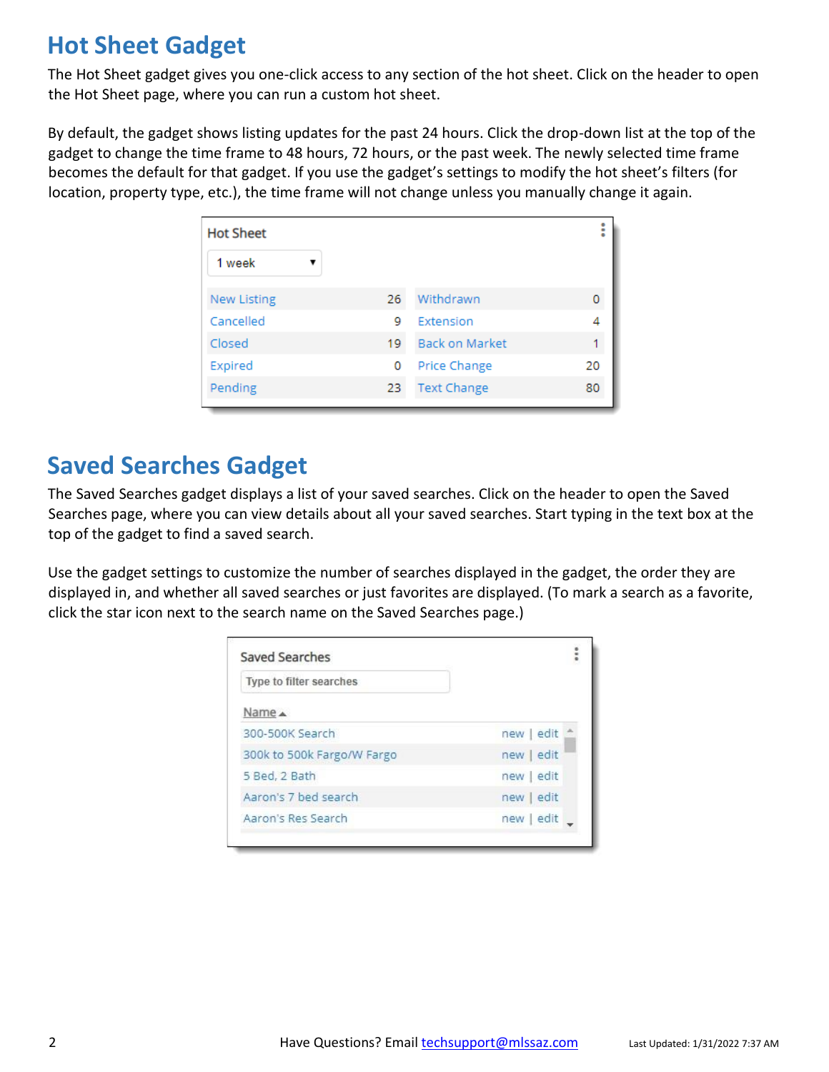### **Hot Sheet Gadget**

The Hot Sheet gadget gives you one-click access to any section of the hot sheet. Click on the header to open the Hot Sheet page, where you can run a custom hot sheet.

By default, the gadget shows listing updates for the past 24 hours. Click the drop-down list at the top of the gadget to change the time frame to 48 hours, 72 hours, or the past week. The newly selected time frame becomes the default for that gadget. If you use the gadget's settings to modify the hot sheet's filters (for location, property type, etc.), the time frame will not change unless you manually change it again.

| <b>Hot Sheet</b>   |    |                       | ŧ  |
|--------------------|----|-----------------------|----|
| 1 week             |    |                       |    |
| <b>New Listing</b> | 26 | Withdrawn             |    |
| Cancelled          | 9  | Extension             |    |
| Closed             | 19 | <b>Back on Market</b> |    |
| Expired            | 0  | Price Change          | 20 |
| Pending            | 23 | <b>Text Change</b>    | 80 |

#### **Saved Searches Gadget**

The Saved Searches gadget displays a list of your saved searches. Click on the header to open the Saved Searches page, where you can view details about all your saved searches. Start typing in the text box at the top of the gadget to find a saved search.

Use the gadget settings to customize the number of searches displayed in the gadget, the order they are displayed in, and whether all saved searches or just favorites are displayed. (To mark a search as a favorite, click the star icon next to the search name on the Saved Searches page.)

| Type to filter searches    |            |
|----------------------------|------------|
| Name A                     |            |
| 300-500K Search            | new edit   |
| 300k to 500k Fargo/W Fargo | new   edit |
| 5 Bed, 2 Bath              | new edit   |
| Aaron's 7 bed search       | new   edit |
| Aaron's Res Search         | new edit   |